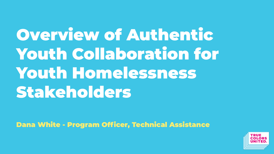Overview of Authentic Youth Collaboration for Youth Homelessness Stakeholders

Dana White - Program Officer, Technical Assistance

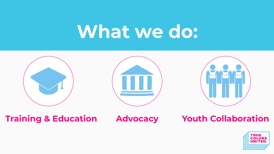## **What we do:**



**Training & Education Advocacy Youth Collaboration**

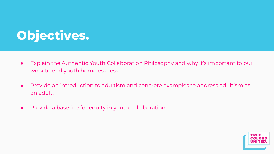## **Objectives.**

- Explain the Authentic Youth Collaboration Philosophy and why it's important to our work to end youth homelessness
- Provide an introduction to adultism and concrete examples to address adultism as an adult.
- Provide a baseline for equity in youth collaboration.

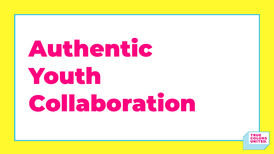# Authentic Youth Collaboration

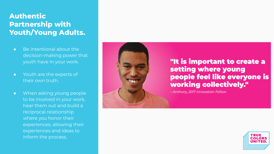#### **Authentic Partnership with Youth/Young Adults.**

- Be intentional about the decision-making power that youth have in your work.
- Youth are the experts of their own truth.
- When asking young people to be involved in your work, hear them out and build a reciprocal relationship where you honor their experiences, allowing their experiences and ideas to inform the process.

#### "It is important to create a setting where young people feel like everyone is working collectively."

- Anthony, 2017 Innovation Fellow

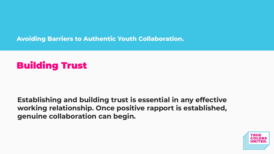**Avoiding Barriers to Authentic Youth Collaboration.**

### Building Trust

**Establishing and building trust is essential in any effective working relationship. Once positive rapport is established, genuine collaboration can begin.**

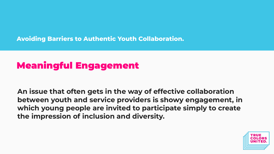**Avoiding Barriers to Authentic Youth Collaboration.**

### Meaningful Engagement

**An issue that often gets in the way of effective collaboration between youth and service providers is showy engagement, in which young people are invited to participate simply to create the impression of inclusion and diversity.**

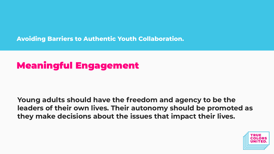**Avoiding Barriers to Authentic Youth Collaboration.**

### Meaningful Engagement

**Young adults should have the freedom and agency to be the leaders of their own lives. Their autonomy should be promoted as they make decisions about the issues that impact their lives.**

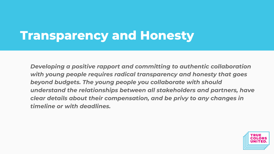## **Transparency and Honesty**

*Developing a positive rapport and committing to authentic collaboration with young people requires radical transparency and honesty that goes beyond budgets. The young people you collaborate with should understand the relationships between all stakeholders and partners, have clear details about their compensation, and be privy to any changes in timeline or with deadlines.*

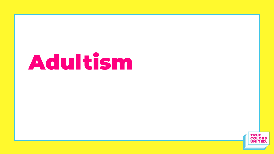# Adultism

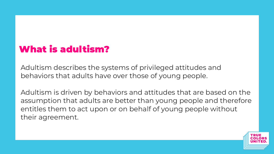### What is adultism?

Adultism describes the systems of privileged attitudes and behaviors that adults have over those of young people.

Adultism is driven by behaviors and attitudes that are based on the assumption that adults are better than young people and therefore entitles them to act upon or on behalf of young people without their agreement.

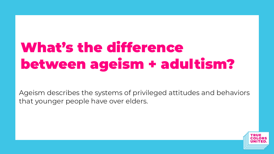## What's the difference between ageism + adultism?

Ageism describes the systems of privileged attitudes and behaviors that younger people have over elders.

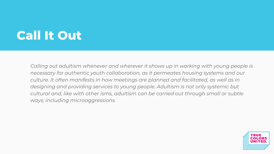## **Call It Out**

*Calling out adultism whenever and wherever it shows up in working with young people is necessary for authentic youth collaboration, as it permeates housing systems and our culture. It often manifests in how meetings are planned and facilitated, as well as in designing and providing services to young people. Adultism is not only systemic but cultural and, like with other isms, adultism can be carried out through small or subtle ways, including microaggressions.*

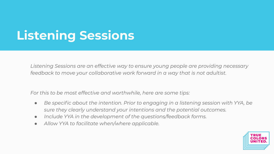## **Listening Sessions**

*Listening Sessions are an effective way to ensure young people are providing necessary feedback to move your collaborative work forward in a way that is not adultist.*

*For this to be most effective and worthwhile, here are some tips:*

- *● Be specific about the intention. Prior to engaging in a listening session with YYA, be sure they clearly understand your intentions and the potential outcomes.*
- *● Include YYA in the development of the questions/feedback forms.*
- *● Allow YYA to facilitate when/where applicable.*

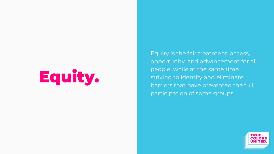# Equity.

Equity is the fair treatment, access, opportunity, and advancement for all people, while at the same time striving to identify and eliminate barriers that have prevented the full participation of some groups.

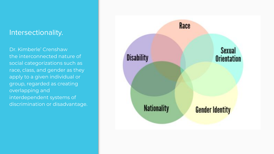#### Intersectionality.

Dr. Kimberle' Crenshaw the interconnected nature of social categorizations such as race, class, and gender as they apply to a given individual or group, regarded as creating overlapping and interdependent systems of discrimination or disadvantage.

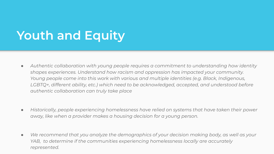## **Youth and Equity**

- *● Authentic collaboration with young people requires a commitment to understanding how identity shapes experiences. Understand how racism and oppression has impacted your community. Young people come into this work with various and multiple identities (e.g. Black, Indigenous, LGBTQ+, different ability, etc.) which need to be acknowledged, accepted, and understood before authentic collaboration can truly take place*
- *● Historically, people experiencing homelessness have relied on systems that have taken their power away, like when a provider makes a housing decision for a young person.*
- *● We recommend that you analyze the demographics of your decision making body, as well as your YAB, to determine if the communities experiencing homelessness locally are accurately represented.*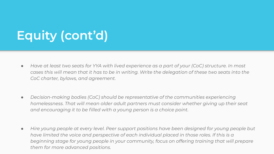## **Equity (cont'd)**

- *● Have at least two seats for YYA with lived experience as a part of your (CoC) structure. In most cases this will mean that it has to be in writing. Write the delegation of these two seats into the CoC charter, bylaws, and agreement.*
- *● Decision-making bodies (CoC) should be representative of the communities experiencing homelessness. That will mean older adult partners must consider whether giving up their seat and encouraging it to be filled with a young person is a choice point.*
- *● Hire young people at every level. Peer support positions have been designed for young people but have limited the voice and perspective of each individual placed in those roles. If this is a beginning stage for young people in your community, focus on offering training that will prepare them for more advanced positions.*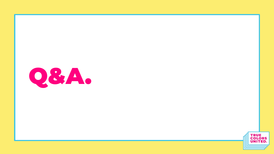